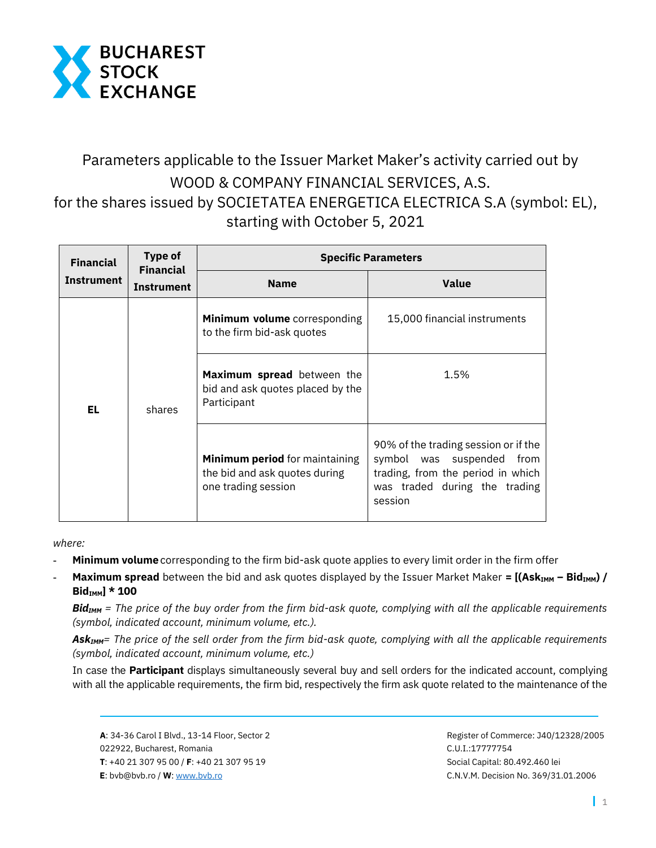

## Parameters applicable to the Issuer Market Maker's activity carried out by WOOD & COMPANY FINANCIAL SERVICES, A.S. for the shares issued by SOCIETATEA ENERGETICA ELECTRICA S.A (symbol: EL), starting with October 5, 2021

| <b>Financial</b><br><b>Instrument</b> | <b>Type of</b><br><b>Financial</b><br><b>Instrument</b> | <b>Specific Parameters</b>                                                             |                                                                                                                                                       |
|---------------------------------------|---------------------------------------------------------|----------------------------------------------------------------------------------------|-------------------------------------------------------------------------------------------------------------------------------------------------------|
|                                       |                                                         | <b>Name</b>                                                                            | <b>Value</b>                                                                                                                                          |
| EL.                                   | shares                                                  | Minimum volume corresponding<br>to the firm bid-ask quotes                             | 15,000 financial instruments                                                                                                                          |
|                                       |                                                         | Maximum spread between the<br>bid and ask quotes placed by the<br>Participant          | 1.5%                                                                                                                                                  |
|                                       |                                                         | Minimum period for maintaining<br>the bid and ask quotes during<br>one trading session | 90% of the trading session or if the<br>symbol was suspended<br>from<br>trading, from the period in which<br>was traded during the trading<br>session |

*where:* 

- **- Minimum volume** corresponding to the firm bid-ask quote applies to every limit order in the firm offer
- **Maximum spread** between the bid and ask quotes displayed by the Issuer Market Maker = [(Ask<sub>IMM</sub> Bid<sub>IMM</sub>) / **BidIMM] \* 100**

*BidIMM = The price of the buy order from the firm bid-ask quote, complying with all the applicable requirements (symbol, indicated account, minimum volume, etc.).*

*AskIMM= The price of the sell order from the firm bid-ask quote, complying with all the applicable requirements (symbol, indicated account, minimum volume, etc.)*

In case the **Participant** displays simultaneously several buy and sell orders for the indicated account, complying with all the applicable requirements, the firm bid, respectively the firm ask quote related to the maintenance of the

 **A**: 34-36 Carol I Blvd., 13-14 Floor, Sector 2 Register of Commerce: J40/12328/2005 022922, Bucharest, Romania C.U.I.:17777754  **T**: +40 21 307 95 00 / **F**: +40 21 307 95 19 Social Capital: 80.492.460 lei **E**: bvb@bvb.ro / **W**[: www.bvb.ro](http://www.bvb.ro/) C.N.V.M. Decision No. 369/31.01.2006